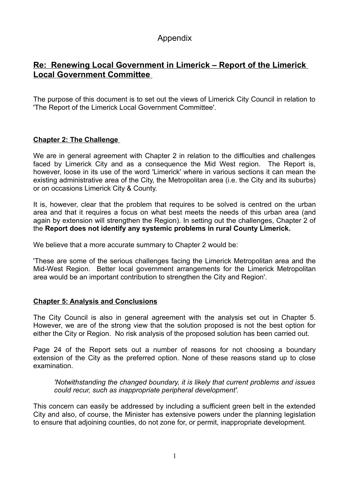# Appendix

## **Re: Renewing Local Government in Limerick – Report of the Limerick Local Government Committee**

The purpose of this document is to set out the views of Limerick City Council in relation to 'The Report of the Limerick Local Government Committee'.

## **Chapter 2: The Challenge**

We are in general agreement with Chapter 2 in relation to the difficulties and challenges faced by Limerick City and as a consequence the Mid West region. The Report is, however, loose in its use of the word 'Limerick' where in various sections it can mean the existing administrative area of the City, the Metropolitan area (i.e. the City and its suburbs) or on occasions Limerick City & County.

It is, however, clear that the problem that requires to be solved is centred on the urban area and that it requires a focus on what best meets the needs of this urban area (and again by extension will strengthen the Region). In setting out the challenges, Chapter 2 of the **Report does not identify any systemic problems in rural County Limerick.**

We believe that a more accurate summary to Chapter 2 would be:

'These are some of the serious challenges facing the Limerick Metropolitan area and the Mid-West Region. Better local government arrangements for the Limerick Metropolitan area would be an important contribution to strengthen the City and Region'.

#### **Chapter 5: Analysis and Conclusions**

The City Council is also in general agreement with the analysis set out in Chapter 5. However, we are of the strong view that the solution proposed is not the best option for either the City or Region. No risk analysis of the proposed solution has been carried out.

Page 24 of the Report sets out a number of reasons for not choosing a boundary extension of the City as the preferred option. None of these reasons stand up to close examination.

*'Notwithstanding the changed boundary, it is likely that current problems and issues could recur, such as inappropriate peripheral development'.*

This concern can easily be addressed by including a sufficient green belt in the extended City and also, of course, the Minister has extensive powers under the planning legislation to ensure that adjoining counties, do not zone for, or permit, inappropriate development.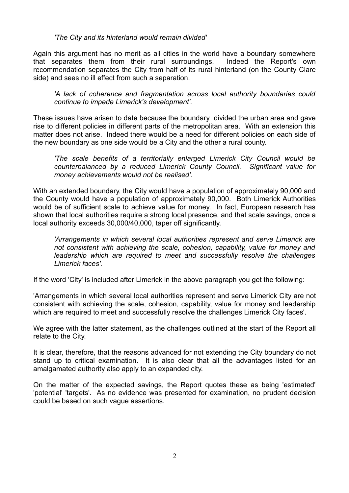#### *'The City and its hinterland would remain divided'*

Again this argument has no merit as all cities in the world have a boundary somewhere that separates them from their rural surroundings. Indeed the Report's own recommendation separates the City from half of its rural hinterland (on the County Clare side) and sees no ill effect from such a separation.

*'A lack of coherence and fragmentation across local authority boundaries could continue to impede Limerick's development'.*

These issues have arisen to date because the boundary divided the urban area and gave rise to different policies in different parts of the metropolitan area. With an extension this matter does not arise. Indeed there would be a need for different policies on each side of the new boundary as one side would be a City and the other a rural county.

*'The scale benefits of a territorially enlarged Limerick City Council would be counterbalanced by a reduced Limerick County Council. Significant value for money achievements would not be realised'.*

With an extended boundary, the City would have a population of approximately 90,000 and the County would have a population of approximately 90,000. Both Limerick Authorities would be of sufficient scale to achieve value for money. In fact, European research has shown that local authorities require a strong local presence, and that scale savings, once a local authority exceeds 30,000/40,000, taper off significantly.

*'Arrangements in which several local authorities represent and serve Limerick are not consistent with achieving the scale, cohesion, capability, value for money and leadership which are required to meet and successfully resolve the challenges Limerick faces'.*

If the word 'City' is included after Limerick in the above paragraph you get the following:

'Arrangements in which several local authorities represent and serve Limerick City are not consistent with achieving the scale, cohesion, capability, value for money and leadership which are required to meet and successfully resolve the challenges Limerick City faces'.

We agree with the latter statement, as the challenges outlined at the start of the Report all relate to the City.

It is clear, therefore, that the reasons advanced for not extending the City boundary do not stand up to critical examination. It is also clear that all the advantages listed for an amalgamated authority also apply to an expanded city.

On the matter of the expected savings, the Report quotes these as being 'estimated' 'potential' 'targets'. As no evidence was presented for examination, no prudent decision could be based on such vague assertions.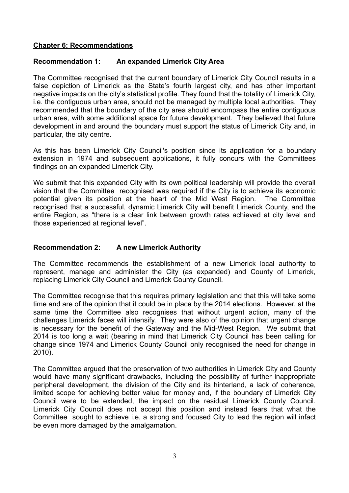#### **Chapter 6: Recommendations**

#### **Recommendation 1: An expanded Limerick City Area**

The Committee recognised that the current boundary of Limerick City Council results in a false depiction of Limerick as the State's fourth largest city, and has other important negative impacts on the city's statistical profile. They found that the totality of Limerick City, i.e. the contiguous urban area, should not be managed by multiple local authorities. They recommended that the boundary of the city area should encompass the entire contiguous urban area, with some additional space for future development. They believed that future development in and around the boundary must support the status of Limerick City and, in particular, the city centre.

As this has been Limerick City Council's position since its application for a boundary extension in 1974 and subsequent applications, it fully concurs with the Committees findings on an expanded Limerick City.

We submit that this expanded City with its own political leadership will provide the overall vision that the Committee recognised was required if the City is to achieve its economic potential given its position at the heart of the Mid West Region. The Committee recognised that a successful, dynamic Limerick City will benefit Limerick County, and the entire Region, as "there is a clear link between growth rates achieved at city level and those experienced at regional level".

#### **Recommendation 2: A new Limerick Authority**

The Committee recommends the establishment of a new Limerick local authority to represent, manage and administer the City (as expanded) and County of Limerick, replacing Limerick City Council and Limerick County Council.

The Committee recognise that this requires primary legislation and that this will take some time and are of the opinion that it could be in place by the 2014 elections. However, at the same time the Committee also recognises that without urgent action, many of the challenges Limerick faces will intensify. They were also of the opinion that urgent change is necessary for the benefit of the Gateway and the Mid-West Region. We submit that 2014 is too long a wait (bearing in mind that Limerick City Council has been calling for change since 1974 and Limerick County Council only recognised the need for change in 2010).

The Committee argued that the preservation of two authorities in Limerick City and County would have many significant drawbacks, including the possibility of further inappropriate peripheral development, the division of the City and its hinterland, a lack of coherence, limited scope for achieving better value for money and, if the boundary of Limerick City Council were to be extended, the impact on the residual Limerick County Council. Limerick City Council does not accept this position and instead fears that what the Committee sought to achieve i.e. a strong and focused City to lead the region will infact be even more damaged by the amalgamation.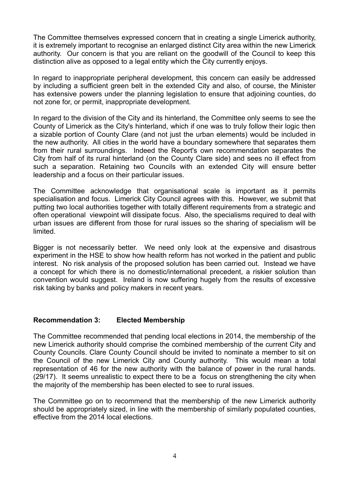The Committee themselves expressed concern that in creating a single Limerick authority, it is extremely important to recognise an enlarged distinct City area within the new Limerick authority. Our concern is that you are reliant on the goodwill of the Council to keep this distinction alive as opposed to a legal entity which the City currently enjoys.

In regard to inappropriate peripheral development, this concern can easily be addressed by including a sufficient green belt in the extended City and also, of course, the Minister has extensive powers under the planning legislation to ensure that adjoining counties, do not zone for, or permit, inappropriate development.

In regard to the division of the City and its hinterland, the Committee only seems to see the County of Limerick as the City's hinterland, which if one was to truly follow their logic then a sizable portion of County Clare (and not just the urban elements) would be included in the new authority. All cities in the world have a boundary somewhere that separates them from their rural surroundings. Indeed the Report's own recommendation separates the City from half of its rural hinterland (on the County Clare side) and sees no ill effect from such a separation. Retaining two Councils with an extended City will ensure better leadership and a focus on their particular issues.

The Committee acknowledge that organisational scale is important as it permits specialisation and focus. Limerick City Council agrees with this. However, we submit that putting two local authorities together with totally different requirements from a strategic and often operational viewpoint will dissipate focus. Also, the specialisms required to deal with urban issues are different from those for rural issues so the sharing of specialism will be limited.

Bigger is not necessarily better. We need only look at the expensive and disastrous experiment in the HSE to show how health reform has not worked in the patient and public interest. No risk analysis of the proposed solution has been carried out. Instead we have a concept for which there is no domestic/international precedent, a riskier solution than convention would suggest. Ireland is now suffering hugely from the results of excessive risk taking by banks and policy makers in recent years.

## **Recommendation 3: Elected Membership**

The Committee recommended that pending local elections in 2014, the membership of the new Limerick authority should comprise the combined membership of the current City and County Councils. Clare County Council should be invited to nominate a member to sit on the Council of the new Limerick City and County authority. This would mean a total representation of 46 for the new authority with the balance of power in the rural hands. (29/17). It seems unrealistic to expect there to be a focus on strengthening the city when the majority of the membership has been elected to see to rural issues.

The Committee go on to recommend that the membership of the new Limerick authority should be appropriately sized, in line with the membership of similarly populated counties, effective from the 2014 local elections.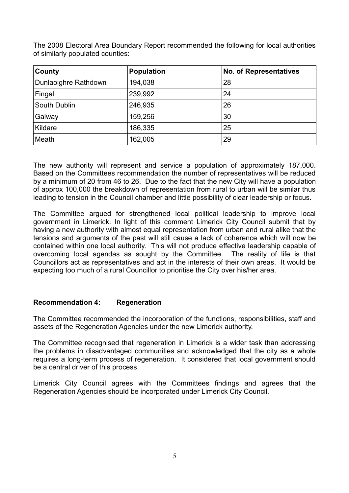The 2008 Electoral Area Boundary Report recommended the following for local authorities of similarly populated counties:

| County               | <b>Population</b> | <b>No. of Representatives</b> |
|----------------------|-------------------|-------------------------------|
| Dunlaoighre Rathdown | 194,038           | 28                            |
| Fingal               | 239,992           | 24                            |
| South Dublin         | 246,935           | 26                            |
| Galway               | 159,256           | 30                            |
| Kildare              | 186,335           | 25                            |
| Meath                | 162,005           | 29                            |

The new authority will represent and service a population of approximately 187,000. Based on the Committees recommendation the number of representatives will be reduced by a minimum of 20 from 46 to 26. Due to the fact that the new City will have a population of approx 100,000 the breakdown of representation from rural to urban will be similar thus leading to tension in the Council chamber and little possibility of clear leadership or focus.

The Committee argued for strengthened local political leadership to improve local government in Limerick. In light of this comment Limerick City Council submit that by having a new authority with almost equal representation from urban and rural alike that the tensions and arguments of the past will still cause a lack of coherence which will now be contained within one local authority. This will not produce effective leadership capable of overcoming local agendas as sought by the Committee. The reality of life is that Councillors act as representatives and act in the interests of their own areas. It would be expecting too much of a rural Councillor to prioritise the City over his/her area.

## **Recommendation 4: Regeneration**

The Committee recommended the incorporation of the functions, responsibilities, staff and assets of the Regeneration Agencies under the new Limerick authority.

The Committee recognised that regeneration in Limerick is a wider task than addressing the problems in disadvantaged communities and acknowledged that the city as a whole requires a long-term process of regeneration. It considered that local government should be a central driver of this process.

Limerick City Council agrees with the Committees findings and agrees that the Regeneration Agencies should be incorporated under Limerick City Council.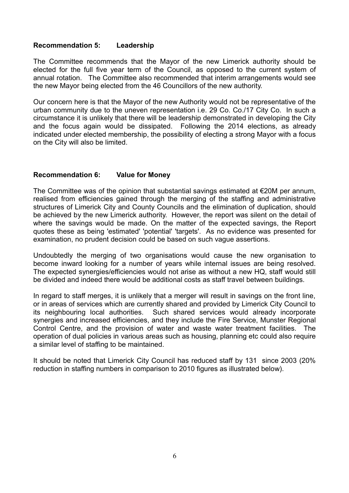#### **Recommendation 5: Leadership**

The Committee recommends that the Mayor of the new Limerick authority should be elected for the full five year term of the Council, as opposed to the current system of annual rotation. The Committee also recommended that interim arrangements would see the new Mayor being elected from the 46 Councillors of the new authority.

Our concern here is that the Mayor of the new Authority would not be representative of the urban community due to the uneven representation i.e. 29 Co. Co./17 City Co. In such a circumstance it is unlikely that there will be leadership demonstrated in developing the City and the focus again would be dissipated. Following the 2014 elections, as already indicated under elected membership, the possibility of electing a strong Mayor with a focus on the City will also be limited.

#### **Recommendation 6: Value for Money**

The Committee was of the opinion that substantial savings estimated at  $\epsilon$ 20M per annum, realised from efficiencies gained through the merging of the staffing and administrative structures of Limerick City and County Councils and the elimination of duplication, should be achieved by the new Limerick authority. However, the report was silent on the detail of where the savings would be made. On the matter of the expected savings, the Report quotes these as being 'estimated' 'potential' 'targets'. As no evidence was presented for examination, no prudent decision could be based on such vague assertions.

Undoubtedly the merging of two organisations would cause the new organisation to become inward looking for a number of years while internal issues are being resolved. The expected synergies/efficiencies would not arise as without a new HQ, staff would still be divided and indeed there would be additional costs as staff travel between buildings.

In regard to staff merges, it is unlikely that a merger will result in savings on the front line, or in areas of services which are currently shared and provided by Limerick City Council to its neighbouring local authorities. Such shared services would already incorporate synergies and increased efficiencies, and they include the Fire Service, Munster Regional Control Centre, and the provision of water and waste water treatment facilities. The operation of dual policies in various areas such as housing, planning etc could also require a similar level of staffing to be maintained.

It should be noted that Limerick City Council has reduced staff by 131 since 2003 (20% reduction in staffing numbers in comparison to 2010 figures as illustrated below).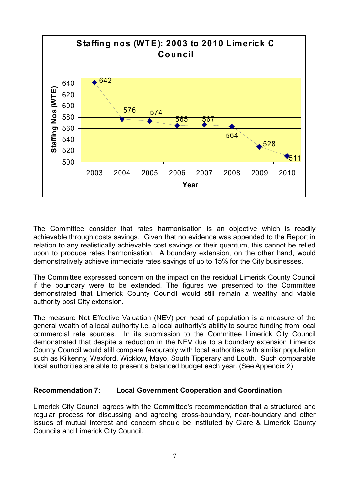

The Committee consider that rates harmonisation is an objective which is readily achievable through costs savings. Given that no evidence was appended to the Report in relation to any realistically achievable cost savings or their quantum, this cannot be relied upon to produce rates harmonisation. A boundary extension, on the other hand, would demonstratively achieve immediate rates savings of up to 15% for the City businesses.

The Committee expressed concern on the impact on the residual Limerick County Council if the boundary were to be extended. The figures we presented to the Committee demonstrated that Limerick County Council would still remain a wealthy and viable authority post City extension.

The measure Net Effective Valuation (NEV) per head of population is a measure of the general wealth of a local authority i.e. a local authority's ability to source funding from local commercial rate sources. In its submission to the Committee Limerick City Council demonstrated that despite a reduction in the NEV due to a boundary extension Limerick County Council would still compare favourably with local authorities with similar population such as Kilkenny, Wexford, Wicklow, Mayo, South Tipperary and Louth. Such comparable local authorities are able to present a balanced budget each year. (See Appendix 2)

## **Recommendation 7: Local Government Cooperation and Coordination**

Limerick City Council agrees with the Committee's recommendation that a structured and regular process for discussing and agreeing cross-boundary, near-boundary and other issues of mutual interest and concern should be instituted by Clare & Limerick County Councils and Limerick City Council.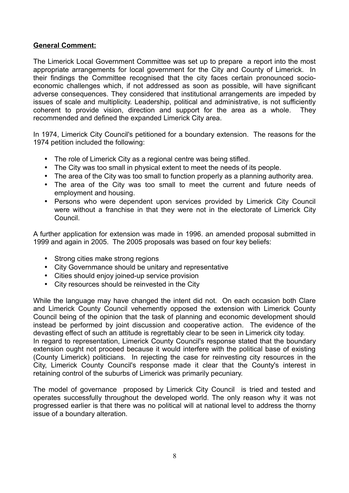## **General Comment:**

The Limerick Local Government Committee was set up to prepare a report into the most appropriate arrangements for local government for the City and County of Limerick. In their findings the Committee recognised that the city faces certain pronounced socioeconomic challenges which, if not addressed as soon as possible, will have significant adverse consequences. They considered that institutional arrangements are impeded by issues of scale and multiplicity. Leadership, political and administrative, is not sufficiently coherent to provide vision, direction and support for the area as a whole. They recommended and defined the expanded Limerick City area.

In 1974, Limerick City Council's petitioned for a boundary extension. The reasons for the 1974 petition included the following:

- The role of Limerick City as a regional centre was being stifled.
- The City was too small in physical extent to meet the needs of its people.
- The area of the City was too small to function properly as a planning authority area.
- The area of the City was too small to meet the current and future needs of employment and housing.
- Persons who were dependent upon services provided by Limerick City Council were without a franchise in that they were not in the electorate of Limerick City Council.

A further application for extension was made in 1996. an amended proposal submitted in 1999 and again in 2005. The 2005 proposals was based on four key beliefs:

- Strong cities make strong regions
- City Governmance should be unitary and representative
- Cities should enjoy joined-up service provision
- City resources should be reinvested in the City

While the language may have changed the intent did not. On each occasion both Clare and Limerick County Council vehemently opposed the extension with Limerick County Council being of the opinion that the task of planning and economic development should instead be performed by joint discussion and cooperative action. The evidence of the devasting effect of such an attitude is regrettably clear to be seen in Limerick city today. In regard to representation, Limerick County Council's response stated that the boundary extension ought not proceed because it would interfere with the political base of existing (County Limerick) politicians. In rejecting the case for reinvesting city resources in the City, Limerick County Council's response made it clear that the County's interest in retaining control of the suburbs of Limerick was primarily pecuniary.

The model of governance proposed by Limerick City Council is tried and tested and operates successfully throughout the developed world. The only reason why it was not progressed earlier is that there was no political will at national level to address the thorny issue of a boundary alteration.